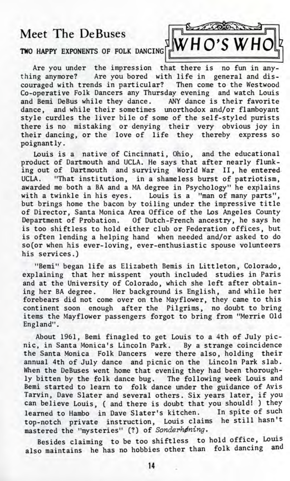## Meet The DeBuses



## TWO HAPPY EXPONENTS OF FOLK DANCING

Are you under the impression that there is no fun in anything anymore? Are you bored with life in general and discouraged with trends in particular? Then come to the Westwood Co-operative Folk Dancers any Thursday evening and watch Louis and Bemi DeBus while they dance. ANY dance is their favorite dance, and while their sometimes unorthodox and/or flamboyant style curdles the liver bile of some of the self-styled purists there is no mistaking or denying their very obvious joy in their dancing, or the love of life they thereby express so poignantly.

Louis is a native of Cincinnati, Ohio, and the educational product of Dartmouth and UCLA. He says that after nearly flunking out of Dartmouth and surviving World War II, he entered UCLA. "That institution, in a shameless burst of patriotism, awarded me both a BA and a MA degree in Psychology" he explains with a twinkle in his eyes. Louis is a "man of many parts", but brings home the bacon by toiling under the impressive title of Director, Santa Monica Area Office of the Los Angeles County Department of Probation. Of Dutch-French ancestry, he says he is too shiftless to hold either club or Federation offices, but is often lending a helping hand when needed and/or asked to do so(or when his ever-loving, ever-enthusiastic spouse volunteers his services.)

"Bemi" began life as Elizabeth Bemis in Littleton, Colorado, explaining that her misspent youth included studies in Paris and at the University of Colorado, which she left after obtaining her BA degree. Her background is English, and while her forebears did not come over on the Mayflower, they came to this continent soon enough after the Pilgrims, no doubt to bring items the Mayflower passengers forgot to bring from "Merrie Old England".

About 1961, Bemi finagled to get Louis to a 4th of July picnic, in Santa Monica's Lincoln Park. By a strange coincidence the Santa Monica Folk Dancers were there also, holding their annual 4th of July dance and picnic on the Lincoln Park slab. When the DeBuses went home that evening they had been thoroughly bitten by the folk dance bug. The following week Louis and Bemi started to learn to folk dance under the guidance of Avis Tarvin, Dave Slater and several others. Six years later, if you can believe Louis, ( and there is doubt that you should! ) they learned to Hambo in Dave Slater's kitchen. In spite of such top-notch private instruction, Louis claims he still hasn't mastered the "mysteries" (?) of Sonderhøning.

Besides claiming to be too shiftless to hold office, Louis also maintains he has no hobbies other than folk dancing and